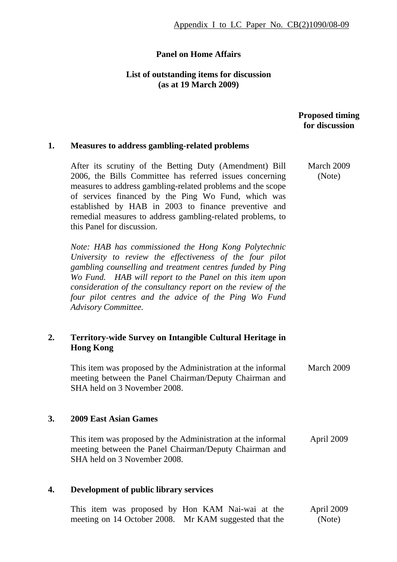## **Panel on Home Affairs**

### **List of outstanding items for discussion (as at 19 March 2009)**

## **Proposed timing for discussion**

#### **1. Measures to address gambling-related problems**

After its scrutiny of the Betting Duty (Amendment) Bill 2006, the Bills Committee has referred issues concerning measures to address gambling-related problems and the scope of services financed by the Ping Wo Fund, which was established by HAB in 2003 to finance preventive and remedial measures to address gambling-related problems, to this Panel for discussion.

*Note: HAB has commissioned the Hong Kong Polytechnic University to review the effectiveness of the four pilot gambling counselling and treatment centres funded by Ping Wo Fund. HAB will report to the Panel on this item upon consideration of the consultancy report on the review of the four pilot centres and the advice of the Ping Wo Fund Advisory Committee.* 

# **2. Territory-wide Survey on Intangible Cultural Heritage in Hong Kong**

This item was proposed by the Administration at the informal meeting between the Panel Chairman/Deputy Chairman and SHA held on 3 November 2008. March 2009

#### **3. 2009 East Asian Games**

This item was proposed by the Administration at the informal meeting between the Panel Chairman/Deputy Chairman and SHA held on 3 November 2008. April 2009

#### **4. Development of public library services**

|  | This item was proposed by Hon KAM Nai-wai at the      |  |  |  | April 2009 |  |
|--|-------------------------------------------------------|--|--|--|------------|--|
|  | meeting on 14 October 2008. Mr KAM suggested that the |  |  |  | (Note)     |  |

 March 2009 (Note)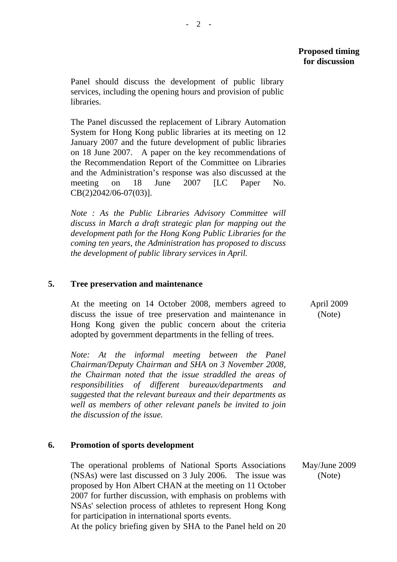Panel should discuss the development of public library services, including the opening hours and provision of public libraries.

The Panel discussed the replacement of Library Automation System for Hong Kong public libraries at its meeting on 12 January 2007 and the future development of public libraries on 18 June 2007. A paper on the key recommendations of the Recommendation Report of the Committee on Libraries and the Administration's response was also discussed at the meeting on 18 June 2007 [LC Paper No. CB(2)2042/06-07(03)].

*Note : As the Public Libraries Advisory Committee will discuss in March a draft strategic plan for mapping out the development path for the Hong Kong Public Libraries for the coming ten years, the Administration has proposed to discuss the development of public library services in April.* 

## **5. Tree preservation and maintenance**

At the meeting on 14 October 2008, members agreed to discuss the issue of tree preservation and maintenance in Hong Kong given the public concern about the criteria adopted by government departments in the felling of trees.

*Note: At the informal meeting between the Panel Chairman/Deputy Chairman and SHA on 3 November 2008, the Chairman noted that the issue straddled the areas of responsibilities of different bureaux/departments and suggested that the relevant bureaux and their departments as well as members of other relevant panels be invited to join the discussion of the issue.* 

### **6. Promotion of sports development**

The operational problems of National Sports Associations (NSAs) were last discussed on 3 July 2006. The issue was proposed by Hon Albert CHAN at the meeting on 11 October 2007 for further discussion, with emphasis on problems with NSAs' selection process of athletes to represent Hong Kong for participation in international sports events.

At the policy briefing given by SHA to the Panel held on 20

 April 2009 (Note)

May/June 2009 (Note)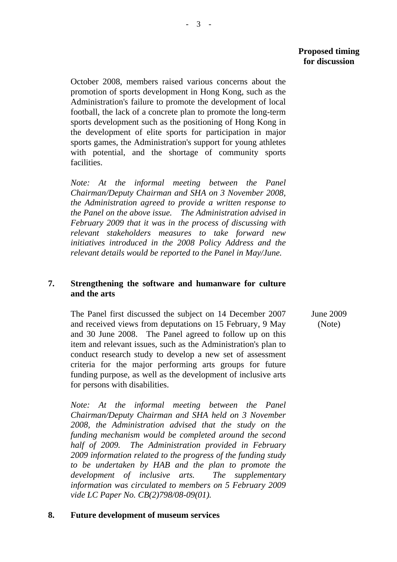October 2008, members raised various concerns about the promotion of sports development in Hong Kong, such as the Administration's failure to promote the development of local football, the lack of a concrete plan to promote the long-term sports development such as the positioning of Hong Kong in the development of elite sports for participation in major sports games, the Administration's support for young athletes with potential, and the shortage of community sports facilities.

*Note: At the informal meeting between the Panel Chairman/Deputy Chairman and SHA on 3 November 2008, the Administration agreed to provide a written response to the Panel on the above issue. The Administration advised in February 2009 that it was in the process of discussing with relevant stakeholders measures to take forward new initiatives introduced in the 2008 Policy Address and the relevant details would be reported to the Panel in May/June.* 

## **7. Strengthening the software and humanware for culture and the arts**

The Panel first discussed the subject on 14 December 2007 and received views from deputations on 15 February, 9 May and 30 June 2008. The Panel agreed to follow up on this item and relevant issues, such as the Administration's plan to conduct research study to develop a new set of assessment criteria for the major performing arts groups for future funding purpose, as well as the development of inclusive arts for persons with disabilities. June 2009

*Note: At the informal meeting between the Panel Chairman/Deputy Chairman and SHA held on 3 November 2008, the Administration advised that the study on the funding mechanism would be completed around the second half of 2009. The Administration provided in February 2009 information related to the progress of the funding study to be undertaken by HAB and the plan to promote the development of inclusive arts. The supplementary information was circulated to members on 5 February 2009 vide LC Paper No. CB(2)798/08-09(01).* 

### **8. Future development of museum services**

(Note)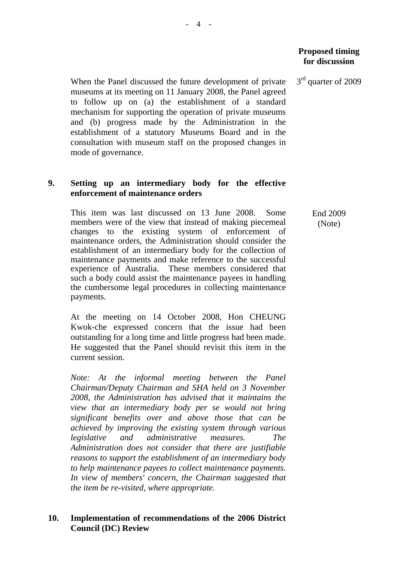3<sup>rd</sup> quarter of 2009

When the Panel discussed the future development of private museums at its meeting on 11 January 2008, the Panel agreed to follow up on (a) the establishment of a standard mechanism for supporting the operation of private museums and (b) progress made by the Administration in the establishment of a statutory Museums Board and in the consultation with museum staff on the proposed changes in mode of governance.

# **9. Setting up an intermediary body for the effective enforcement of maintenance orders**

This item was last discussed on 13 June 2008. Some members were of the view that instead of making piecemeal changes to the existing system of enforcement of maintenance orders, the Administration should consider the establishment of an intermediary body for the collection of maintenance payments and make reference to the successful experience of Australia. These members considered that such a body could assist the maintenance payees in handling the cumbersome legal procedures in collecting maintenance payments.

At the meeting on 14 October 2008, Hon CHEUNG Kwok-che expressed concern that the issue had been outstanding for a long time and little progress had been made. He suggested that the Panel should revisit this item in the current session.

*Note: At the informal meeting between the Panel Chairman/Deputy Chairman and SHA held on 3 November 2008, the Administration has advised that it maintains the view that an intermediary body per se would not bring significant benefits over and above those that can be achieved by improving the existing system through various legislative and administrative measures. The Administration does not consider that there are justifiable reasons to support the establishment of an intermediary body to help maintenance payees to collect maintenance payments. In view of members' concern, the Chairman suggested that the item be re-visited, where appropriate.* 

## **10. Implementation of recommendations of the 2006 District Council (DC) Review**

 End 2009 (Note)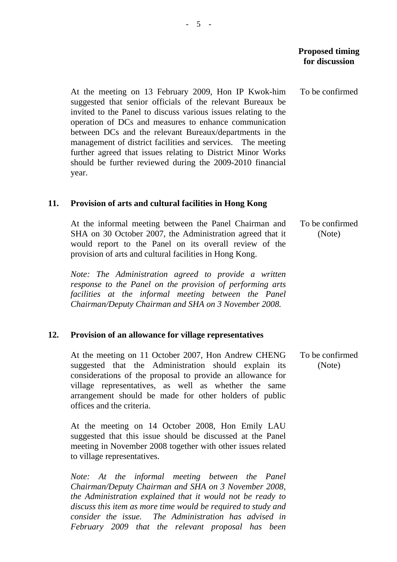To be confirmed

At the meeting on 13 February 2009, Hon IP Kwok-him suggested that senior officials of the relevant Bureaux be invited to the Panel to discuss various issues relating to the operation of DCs and measures to enhance communication between DCs and the relevant Bureaux/departments in the management of district facilities and services. The meeting further agreed that issues relating to District Minor Works should be further reviewed during the 2009-2010 financial year.

#### **11. Provision of arts and cultural facilities in Hong Kong**

At the informal meeting between the Panel Chairman and SHA on 30 October 2007, the Administration agreed that it would report to the Panel on its overall review of the provision of arts and cultural facilities in Hong Kong. To be confirmed (Note)

*Note: The Administration agreed to provide a written response to the Panel on the provision of performing arts facilities at the informal meeting between the Panel Chairman/Deputy Chairman and SHA on 3 November 2008.* 

#### **12. Provision of an allowance for village representatives**

At the meeting on 11 October 2007, Hon Andrew CHENG suggested that the Administration should explain its considerations of the proposal to provide an allowance for village representatives, as well as whether the same arrangement should be made for other holders of public offices and the criteria.

At the meeting on 14 October 2008, Hon Emily LAU suggested that this issue should be discussed at the Panel meeting in November 2008 together with other issues related to village representatives.

*Note: At the informal meeting between the Panel Chairman/Deputy Chairman and SHA on 3 November 2008, the Administration explained that it would not be ready to discuss this item as more time would be required to study and consider the issue. The Administration has advised in February 2009 that the relevant proposal has been*  To be confirmed (Note)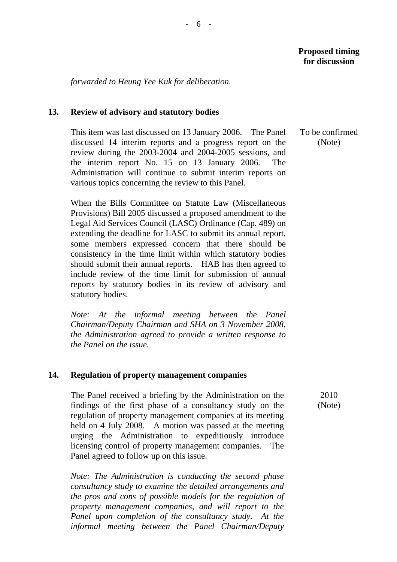*forwarded to Heung Yee Kuk for deliberation.* 

## **13. Review of advisory and statutory bodies**

This item was last discussed on 13 January 2006. The Panel discussed 14 interim reports and a progress report on the review during the 2003-2004 and 2004-2005 sessions, and the interim report No. 15 on 13 January 2006. The Administration will continue to submit interim reports on various topics concerning the review to this Panel.

When the Bills Committee on Statute Law (Miscellaneous Provisions) Bill 2005 discussed a proposed amendment to the Legal Aid Services Council (LASC) Ordinance (Cap. 489) on extending the deadline for LASC to submit its annual report, some members expressed concern that there should be consistency in the time limit within which statutory bodies should submit their annual reports. HAB has then agreed to include review of the time limit for submission of annual reports by statutory bodies in its review of advisory and statutory bodies.

*Note: At the informal meeting between the Panel Chairman/Deputy Chairman and SHA on 3 November 2008, the Administration agreed to provide a written response to the Panel on the issue.* 

### **14. Regulation of property management companies**

The Panel received a briefing by the Administration on the findings of the first phase of a consultancy study on the regulation of property management companies at its meeting held on 4 July 2008. A motion was passed at the meeting urging the Administration to expeditiously introduce licensing control of property management companies. The Panel agreed to follow up on this issue.

*Note: The Administration is conducting the second phase consultancy study to examine the detailed arrangements and the pros and cons of possible models for the regulation of property management companies, and will report to the Panel upon completion of the consultancy study. At the informal meeting between the Panel Chairman/Deputy* 

To be confirmed (Note)

> 2010 (Note)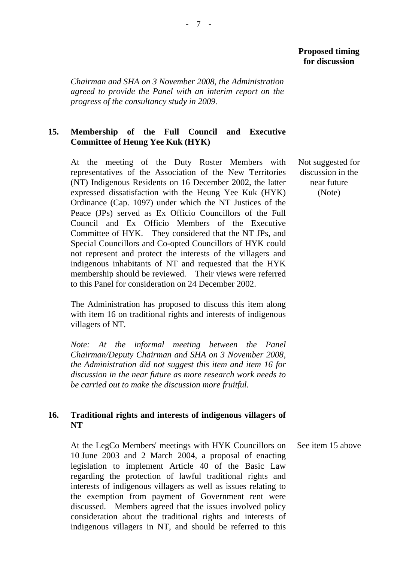*Chairman and SHA on 3 November 2008, the Administration agreed to provide the Panel with an interim report on the progress of the consultancy study in 2009.* 

# **15. Membership of the Full Council and Executive Committee of Heung Yee Kuk (HYK)**

At the meeting of the Duty Roster Members with representatives of the Association of the New Territories (NT) Indigenous Residents on 16 December 2002, the latter expressed dissatisfaction with the Heung Yee Kuk (HYK) Ordinance (Cap. 1097) under which the NT Justices of the Peace (JPs) served as Ex Officio Councillors of the Full Council and Ex Officio Members of the Executive Committee of HYK. They considered that the NT JPs, and Special Councillors and Co-opted Councillors of HYK could not represent and protect the interests of the villagers and indigenous inhabitants of NT and requested that the HYK membership should be reviewed. Their views were referred to this Panel for consideration on 24 December 2002.

The Administration has proposed to discuss this item along with item 16 on traditional rights and interests of indigenous villagers of NT.

*Note: At the informal meeting between the Panel Chairman/Deputy Chairman and SHA on 3 November 2008, the Administration did not suggest this item and item 16 for discussion in the near future as more research work needs to be carried out to make the discussion more fruitful.* 

# **16. Traditional rights and interests of indigenous villagers of NT**

At the LegCo Members' meetings with HYK Councillors on 10 June 2003 and 2 March 2004, a proposal of enacting legislation to implement Article 40 of the Basic Law regarding the protection of lawful traditional rights and interests of indigenous villagers as well as issues relating to the exemption from payment of Government rent were discussed. Members agreed that the issues involved policy consideration about the traditional rights and interests of indigenous villagers in NT, and should be referred to this

 Not suggested for discussion in the near future (Note)

See item 15 above